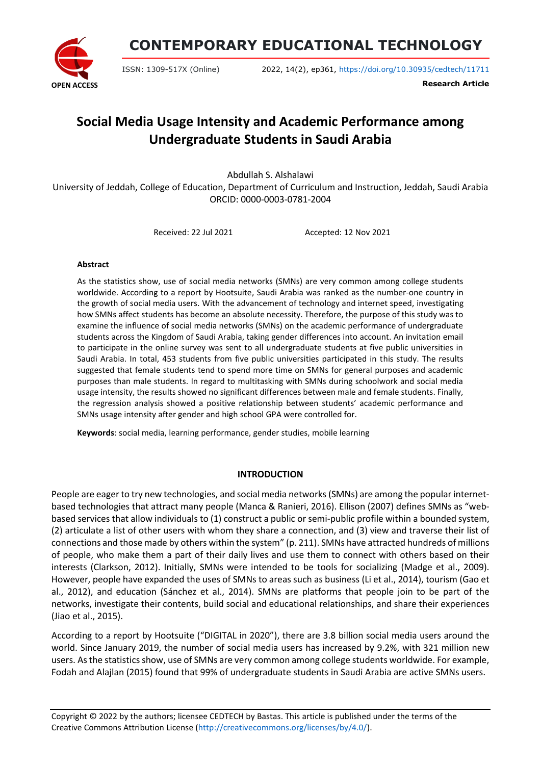

**CONTEMPORARY EDUCATIONAL TECHNOLOGY**

ISSN: 1309-517X (Online) 2022, 14(2), ep361, <https://doi.org/10.30935/cedtech/11711>

**Research Article**

# **Social Media Usage Intensity and Academic Performance among Undergraduate Students in Saudi Arabia**

Abdullah S. Alshalawi

University of Jeddah, College of Education, Department of Curriculum and Instruction, Jeddah, Saudi Arabia ORCID: 0000-0003-0781-2004

Received: 22 Jul 2021 Accepted: 12 Nov 2021

#### **Abstract**

As the statistics show, use of social media networks (SMNs) are very common among college students worldwide. According to a report by Hootsuite, Saudi Arabia was ranked as the number-one country in the growth of social media users. With the advancement of technology and internet speed, investigating how SMNs affect students has become an absolute necessity. Therefore, the purpose of this study was to examine the influence of social media networks (SMNs) on the academic performance of undergraduate students across the Kingdom of Saudi Arabia, taking gender differences into account. An invitation email to participate in the online survey was sent to all undergraduate students at five public universities in Saudi Arabia. In total, 453 students from five public universities participated in this study. The results suggested that female students tend to spend more time on SMNs for general purposes and academic purposes than male students. In regard to multitasking with SMNs during schoolwork and social media usage intensity, the results showed no significant differences between male and female students. Finally, the regression analysis showed a positive relationship between students' academic performance and SMNs usage intensity after gender and high school GPA were controlled for.

**Keywords**: social media, learning performance, gender studies, mobile learning

## **INTRODUCTION**

People are eagerto try new technologies, and social media networks(SMNs) are among the popular internetbased technologies that attract many people (Manca & Ranieri, 2016). Ellison (2007) defines SMNs as "webbased services that allow individuals to (1) construct a public orsemi-public profile within a bounded system, (2) articulate a list of other users with whom they share a connection, and (3) view and traverse their list of connections and those made by others within the system" (p. 211). SMNs have attracted hundreds of millions of people, who make them a part of their daily lives and use them to connect with others based on their interests (Clarkson, 2012). Initially, SMNs were intended to be tools for socializing (Madge et al., 2009). However, people have expanded the uses of SMNs to areas such as business (Li et al., 2014), tourism (Gao et al., 2012), and education (Sánchez et al., 2014). SMNs are platforms that people join to be part of the networks, investigate their contents, build social and educational relationships, and share their experiences (Jiao et al., 2015).

According to a report by Hootsuite ("DIGITAL in 2020"), there are 3.8 billion social media users around the world. Since January 2019, the number of social media users has increased by 9.2%, with 321 million new users. As the statistics show, use of SMNs are very common among college students worldwide. For example, Fodah and Alajlan (2015) found that 99% of undergraduate students in Saudi Arabia are active SMNs users.

Copyright © 2022 by the authors; licensee CEDTECH by Bastas. This article is published under the terms of the Creative Commons Attribution License [\(http://creativecommons.org/licenses/by/4.0/\)](http://creativecommons.org/licenses/by/4.0/).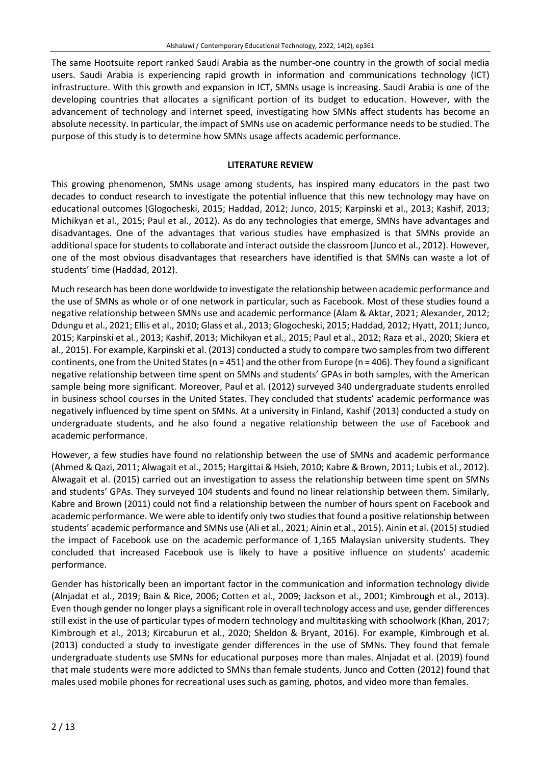The same Hootsuite report ranked Saudi Arabia as the number-one country in the growth of social media users. Saudi Arabia is experiencing rapid growth in information and communications technology (ICT) infrastructure. With this growth and expansion in ICT, SMNs usage is increasing. Saudi Arabia is one of the developing countries that allocates a significant portion of its budget to education. However, with the advancement of technology and internet speed, investigating how SMNs affect students has become an absolute necessity. In particular, the impact of SMNs use on academic performance needs to be studied. The purpose of this study is to determine how SMNs usage affects academic performance.

## **LITERATURE REVIEW**

This growing phenomenon, SMNs usage among students, has inspired many educators in the past two decades to conduct research to investigate the potential influence that this new technology may have on educational outcomes (Glogocheski, 2015; Haddad, 2012; Junco, 2015; Karpinski et al., 2013; Kashif, 2013; Michikyan et al., 2015; Paul et al., 2012). As do any technologies that emerge, SMNs have advantages and disadvantages. One of the advantages that various studies have emphasized is that SMNs provide an additional space for students to collaborate and interact outside the classroom (Junco et al., 2012). However, one of the most obvious disadvantages that researchers have identified is that SMNs can waste a lot of students' time (Haddad, 2012).

Much research has been done worldwide to investigate the relationship between academic performance and the use of SMNs as whole or of one network in particular, such as Facebook. Most of these studies found a negative relationship between SMNs use and academic performance (Alam & Aktar, 2021; Alexander, 2012; Ddungu et al., 2021; Ellis et al., 2010; Glass et al., 2013; Glogocheski, 2015; Haddad, 2012; Hyatt, 2011; Junco, 2015; Karpinski et al., 2013; Kashif, 2013; Michikyan et al., 2015; Paul et al., 2012; Raza et al., 2020; Skiera et al., 2015). For example, Karpinski et al. (2013) conducted a study to compare two samples from two different continents, one from the United States (n = 451) and the other from Europe (n = 406). They found a significant negative relationship between time spent on SMNs and students' GPAs in both samples, with the American sample being more significant. Moreover, Paul et al. (2012) surveyed 340 undergraduate students enrolled in business school courses in the United States. They concluded that students' academic performance was negatively influenced by time spent on SMNs. At a university in Finland, Kashif (2013) conducted a study on undergraduate students, and he also found a negative relationship between the use of Facebook and academic performance.

However, a few studies have found no relationship between the use of SMNs and academic performance (Ahmed & Qazi, 2011; Alwagait et al., 2015; Hargittai & Hsieh, 2010; Kabre & Brown, 2011; Lubis et al., 2012). Alwagait et al. (2015) carried out an investigation to assess the relationship between time spent on SMNs and students' GPAs. They surveyed 104 students and found no linear relationship between them. Similarly, Kabre and Brown (2011) could not find a relationship between the number of hours spent on Facebook and academic performance. We were able to identify only two studiesthat found a positive relationship between students' academic performance and SMNs use (Ali et al., 2021; Ainin et al., 2015). Ainin et al. (2015) studied the impact of Facebook use on the academic performance of 1,165 Malaysian university students. They concluded that increased Facebook use is likely to have a positive influence on students' academic performance.

Gender has historically been an important factor in the communication and information technology divide (Alnjadat et al., 2019; Bain & Rice, 2006; Cotten et al., 2009; Jackson et al., 2001; Kimbrough et al., 2013). Even though gender no longer plays a significant role in overall technology access and use, gender differences still exist in the use of particular types of modern technology and multitasking with schoolwork (Khan, 2017; Kimbrough et al., 2013; Kircaburun et al., 2020; Sheldon & Bryant, 2016). For example, Kimbrough et al. (2013) conducted a study to investigate gender differences in the use of SMNs. They found that female undergraduate students use SMNs for educational purposes more than males. Alnjadat et al. (2019) found that male students were more addicted to SMNs than female students. Junco and Cotten (2012) found that males used mobile phones for recreational uses such as gaming, photos, and video more than females.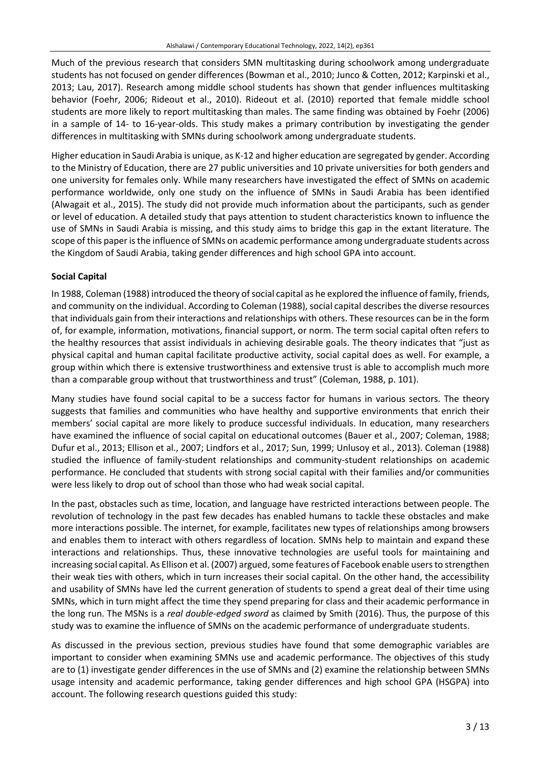Much of the previous research that considers SMN multitasking during schoolwork among undergraduate students has not focused on gender differences (Bowman et al., 2010; Junco & Cotten, 2012; Karpinski et al., 2013; Lau, 2017). Research among middle school students has shown that gender influences multitasking behavior (Foehr, 2006; Rideout et al., 2010). Rideout et al. (2010) reported that female middle school students are more likely to report multitasking than males. The same finding was obtained by Foehr (2006) in a sample of 14- to 16-year-olds. This study makes a primary contribution by investigating the gender differences in multitasking with SMNs during schoolwork among undergraduate students.

Higher education in Saudi Arabia is unique, as K-12 and higher education are segregated by gender. According to the Ministry of Education, there are 27 public universities and 10 private universities for both genders and one university for females only. While many researchers have investigated the effect of SMNs on academic performance worldwide, only one study on the influence of SMNs in Saudi Arabia has been identified (Alwagait et al., 2015). The study did not provide much information about the participants, such as gender or level of education. A detailed study that pays attention to student characteristics known to influence the use of SMNs in Saudi Arabia is missing, and this study aims to bridge this gap in the extant literature. The scope of this paper is the influence of SMNs on academic performance among undergraduate students across the Kingdom of Saudi Arabia, taking gender differences and high school GPA into account.

## **Social Capital**

In 1988, Coleman (1988) introduced the theory of social capital as he explored the influence of family, friends, and community on the individual. According to Coleman (1988), social capital describes the diverse resources that individuals gain from their interactions and relationships with others. These resources can be in the form of, for example, information, motivations, financial support, or norm. The term social capital often refers to the healthy resources that assist individuals in achieving desirable goals. The theory indicates that "just as physical capital and human capital facilitate productive activity, social capital does as well. For example, a group within which there is extensive trustworthiness and extensive trust is able to accomplish much more than a comparable group without that trustworthiness and trust" (Coleman, 1988, p. 101).

Many studies have found social capital to be a success factor for humans in various sectors. The theory suggests that families and communities who have healthy and supportive environments that enrich their members' social capital are more likely to produce successful individuals. In education, many researchers have examined the influence of social capital on educational outcomes (Bauer et al., 2007; Coleman, 1988; Dufur et al., 2013; Ellison et al., 2007; Lindfors et al., 2017; Sun, 1999; Unlusoy et al., 2013). Coleman (1988) studied the influence of family-student relationships and community-student relationships on academic performance. He concluded that students with strong social capital with their families and/or communities were less likely to drop out of school than those who had weak social capital.

In the past, obstacles such as time, location, and language have restricted interactions between people. The revolution of technology in the past few decades has enabled humans to tackle these obstacles and make more interactions possible. The internet, for example, facilitates new types of relationships among browsers and enables them to interact with others regardless of location. SMNs help to maintain and expand these interactions and relationships. Thus, these innovative technologies are useful tools for maintaining and increasing social capital. As Ellison et al. (2007) argued, some features of Facebook enable users to strengthen their weak ties with others, which in turn increases their social capital. On the other hand, the accessibility and usability of SMNs have led the current generation of students to spend a great deal of their time using SMNs, which in turn might affect the time they spend preparing for class and their academic performance in the long run. The MSNs is a *real double-edged sword* as claimed by Smith (2016). Thus, the purpose of this study was to examine the influence of SMNs on the academic performance of undergraduate students.

As discussed in the previous section, previous studies have found that some demographic variables are important to consider when examining SMNs use and academic performance. The objectives of this study are to (1) investigate gender differences in the use of SMNs and (2) examine the relationship between SMNs usage intensity and academic performance, taking gender differences and high school GPA (HSGPA) into account. The following research questions guided this study: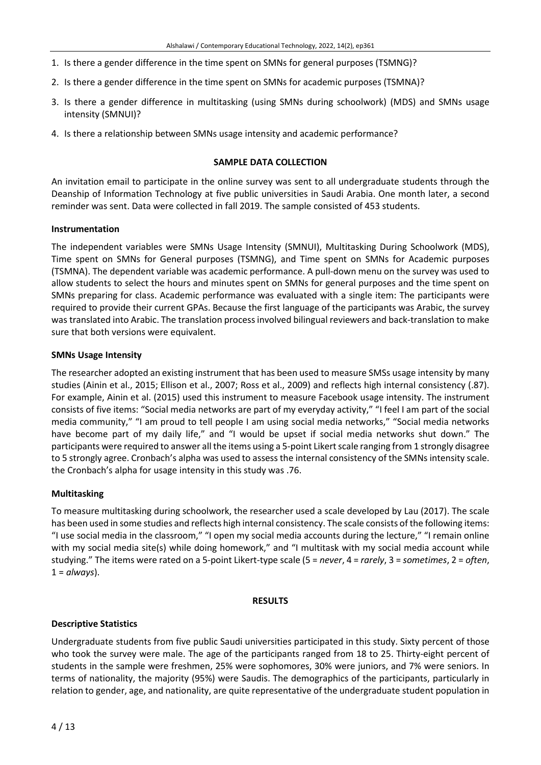- 1. Is there a gender difference in the time spent on SMNs for general purposes (TSMNG)?
- 2. Is there a gender difference in the time spent on SMNs for academic purposes (TSMNA)?
- 3. Is there a gender difference in multitasking (using SMNs during schoolwork) (MDS) and SMNs usage intensity (SMNUI)?
- 4. Is there a relationship between SMNs usage intensity and academic performance?

#### **SAMPLE DATA COLLECTION**

An invitation email to participate in the online survey was sent to all undergraduate students through the Deanship of Information Technology at five public universities in Saudi Arabia. One month later, a second reminder was sent. Data were collected in fall 2019. The sample consisted of 453 students.

#### **Instrumentation**

The independent variables were SMNs Usage Intensity (SMNUI), Multitasking During Schoolwork (MDS), Time spent on SMNs for General purposes (TSMNG), and Time spent on SMNs for Academic purposes (TSMNA). The dependent variable was academic performance. A pull-down menu on the survey was used to allow students to select the hours and minutes spent on SMNs for general purposes and the time spent on SMNs preparing for class. Academic performance was evaluated with a single item: The participants were required to provide their current GPAs. Because the first language of the participants was Arabic, the survey was translated into Arabic. The translation processinvolved bilingual reviewers and back-translation to make sure that both versions were equivalent.

#### **SMNs Usage Intensity**

The researcher adopted an existing instrument that has been used to measure SMSs usage intensity by many studies (Ainin et al., 2015; Ellison et al., 2007; Ross et al., 2009) and reflects high internal consistency (.87). For example, Ainin et al. (2015) used this instrument to measure Facebook usage intensity. The instrument consists of five items: "Social media networks are part of my everyday activity," "I feel I am part of the social media community," "I am proud to tell people I am using social media networks," "Social media networks have become part of my daily life," and "I would be upset if social media networks shut down." The participants were required to answer all the items using a 5-point Likert scale ranging from 1 strongly disagree to 5 strongly agree. Cronbach's alpha was used to assess the internal consistency of the SMNs intensity scale. the Cronbach's alpha for usage intensity in this study was .76.

## **Multitasking**

To measure multitasking during schoolwork, the researcher used a scale developed by Lau (2017). The scale has been used in some studies and reflects high internal consistency. The scale consists of the following items: "I use social media in the classroom," "I open my social media accounts during the lecture," "I remain online with my social media site(s) while doing homework," and "I multitask with my social media account while studying." The items were rated on a 5-point Likert-type scale (5 = *never*, 4 = *rarely*, 3 = *sometimes*, 2 = *often*, 1 = *always*).

#### **RESULTS**

## **Descriptive Statistics**

Undergraduate students from five public Saudi universities participated in this study. Sixty percent of those who took the survey were male. The age of the participants ranged from 18 to 25. Thirty-eight percent of students in the sample were freshmen, 25% were sophomores, 30% were juniors, and 7% were seniors. In terms of nationality, the majority (95%) were Saudis. The demographics of the participants, particularly in relation to gender, age, and nationality, are quite representative of the undergraduate student population in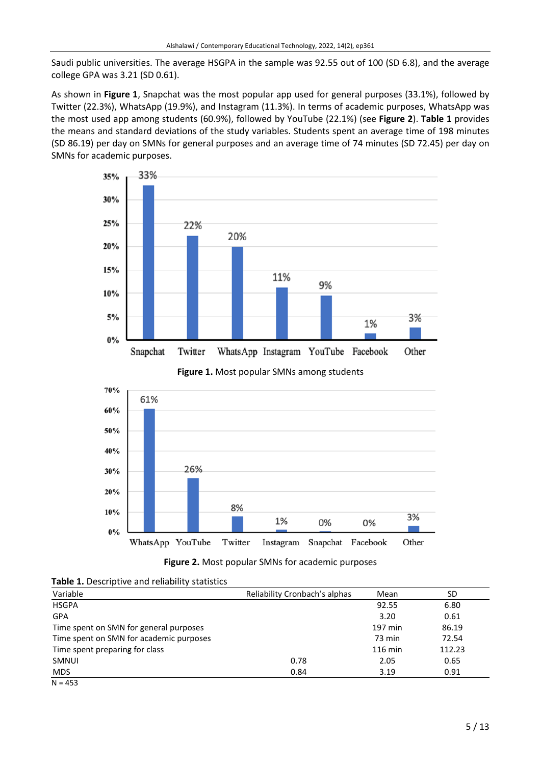Saudi public universities. The average HSGPA in the sample was 92.55 out of 100 (SD 6.8), and the average college GPA was 3.21 (SD 0.61).

As shown in **Figure 1**, Snapchat was the most popular app used for general purposes (33.1%), followed by Twitter (22.3%), WhatsApp (19.9%), and Instagram (11.3%). In terms of academic purposes, WhatsApp was the most used app among students (60.9%), followed by YouTube (22.1%) (see **Figure 2**). **Table 1** provides the means and standard deviations of the study variables. Students spent an average time of 198 minutes (SD 86.19) per day on SMNs for general purposes and an average time of 74 minutes (SD 72.45) per day on SMNs for academic purposes.











| Variable                                | Reliability Cronbach's alphas | Mean    | SD     |
|-----------------------------------------|-------------------------------|---------|--------|
| <b>HSGPA</b>                            |                               | 92.55   | 6.80   |
| <b>GPA</b>                              |                               | 3.20    | 0.61   |
| Time spent on SMN for general purposes  |                               | 197 min | 86.19  |
| Time spent on SMN for academic purposes |                               | 73 min  | 72.54  |
| Time spent preparing for class          |                               | 116 min | 112.23 |
| SMNUI                                   | 0.78                          | 2.05    | 0.65   |
| MDS.                                    | 0.84                          | 3.19    | 0.91   |
| $N = 453$                               |                               |         |        |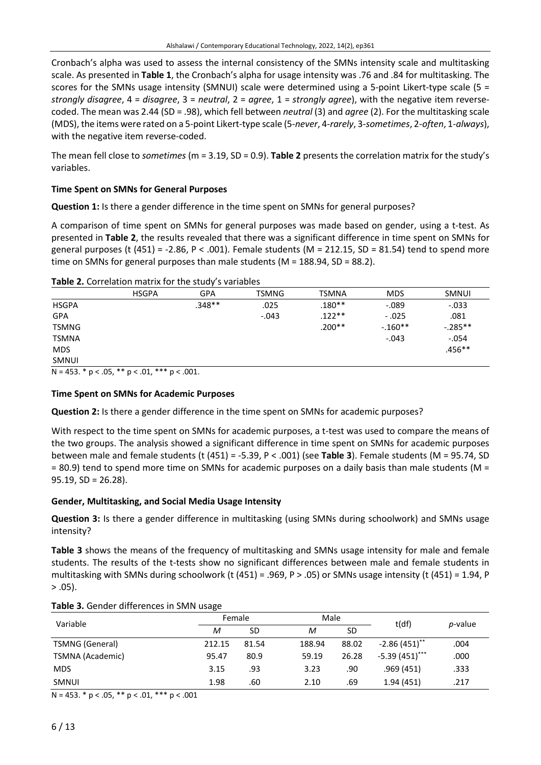Cronbach's alpha was used to assess the internal consistency of the SMNs intensity scale and multitasking scale. As presented in **Table 1**, the Cronbach's alpha for usage intensity was .76 and .84 for multitasking. The scores for the SMNs usage intensity (SMNUI) scale were determined using a 5-point Likert-type scale (5 = *strongly disagree*, 4 = *disagree*, 3 = *neutral*, 2 = *agree*, 1 = *strongly agree*), with the negative item reversecoded. The mean was 2.44 (SD = .98), which fell between *neutral* (3) and *agree* (2). For the multitasking scale (MDS), the items were rated on a 5-point Likert-type scale (5-*never*, 4-*rarely*, 3-*sometimes*, 2-*often*, 1-*always*), with the negative item reverse-coded.

The mean fell close to *sometimes* (m = 3.19, SD = 0.9). **Table 2** presents the correlation matrix for the study's variables.

## **Time Spent on SMNs for General Purposes**

**Question 1:** Is there a gender difference in the time spent on SMNs for general purposes?

A comparison of time spent on SMNs for general purposes was made based on gender, using a t-test. As presented in **Table 2**, the results revealed that there was a significant difference in time spent on SMNs for general purposes (t  $(451) = -2.86$ , P < .001). Female students (M = 212.15, SD = 81.54) tend to spend more time on SMNs for general purposes than male students ( $M = 188.94$ , SD = 88.2).

| Table 2. Correlation matrix for the study's variables |  |  |
|-------------------------------------------------------|--|--|
|-------------------------------------------------------|--|--|

|              | <b>HSGPA</b> | <b>GPA</b> | <b>TSMNG</b> | <b>TSMNA</b> | <b>MDS</b> | SMNUI     |
|--------------|--------------|------------|--------------|--------------|------------|-----------|
| <b>HSGPA</b> |              | $.348**$   | .025         | $.180**$     | $-0.089$   | $-.033$   |
| <b>GPA</b>   |              |            | $-.043$      | $.122**$     | $-.025$    | .081      |
| <b>TSMNG</b> |              |            |              | $.200**$     | $-160**$   | $-.285**$ |
| <b>TSMNA</b> |              |            |              |              | $-.043$    | $-.054$   |
| <b>MDS</b>   |              |            |              |              |            | $.456**$  |
| SMNUI        |              |            |              |              |            |           |

 $N = 453.$  \*  $p < .05$ , \*\*  $p < .01$ , \*\*\*  $p < .001$ .

## **Time Spent on SMNs for Academic Purposes**

**Question 2:** Is there a gender difference in the time spent on SMNs for academic purposes?

With respect to the time spent on SMNs for academic purposes, a t-test was used to compare the means of the two groups. The analysis showed a significant difference in time spent on SMNs for academic purposes between male and female students (t (451) = -5.39, P < .001) (see **Table 3**). Female students (M = 95.74, SD  $= 80.9$ ) tend to spend more time on SMNs for academic purposes on a daily basis than male students (M  $=$  $95.19$ ,  $SD = 26.28$ ).

## **Gender, Multitasking, and Social Media Usage Intensity**

**Question 3:** Is there a gender difference in multitasking (using SMNs during schoolwork) and SMNs usage intensity?

**Table 3** shows the means of the frequency of multitasking and SMNs usage intensity for male and female students. The results of the t-tests show no significant differences between male and female students in multitasking with SMNs during schoolwork (t (451) = .969, P > .05) or SMNs usage intensity (t (451) = 1.94, P  $> .05$ ).

| Variable               |        | Female    |        | Male  | t(df)            |                 |
|------------------------|--------|-----------|--------|-------|------------------|-----------------|
|                        | М      | <b>SD</b> | M      | SD    |                  | <i>p</i> -value |
| <b>TSMNG (General)</b> | 212.15 | 81.54     | 188.94 | 88.02 | $-2.86(451)$ **  | .004            |
| TSMNA (Academic)       | 95.47  | 80.9      | 59.19  | 26.28 | $-5.39(451)$ *** | .000            |
| <b>MDS</b>             | 3.15   | .93       | 3.23   | .90   | .969(451)        | .333            |
| SMNUI                  | 1.98   | .60       | 2.10   | .69   | 1.94(451)        | .217            |

#### **Table 3.** Gender differences in SMN usage

 $N = 453. * p < .05, ** p < .01, *** p < .001$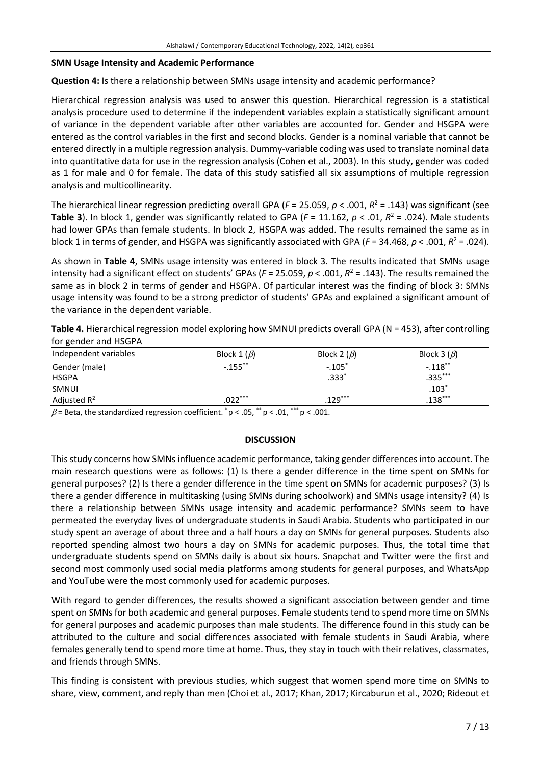#### **SMN Usage Intensity and Academic Performance**

**Question 4:** Is there a relationship between SMNs usage intensity and academic performance?

Hierarchical regression analysis was used to answer this question. Hierarchical regression is a statistical analysis procedure used to determine if the independent variables explain a statistically significant amount of variance in the dependent variable after other variables are accounted for. Gender and HSGPA were entered as the control variables in the first and second blocks. Gender is a nominal variable that cannot be entered directly in a multiple regression analysis. Dummy-variable coding was used to translate nominal data into quantitative data for use in the regression analysis (Cohen et al., 2003). In this study, gender was coded as 1 for male and 0 for female. The data of this study satisfied all six assumptions of multiple regression analysis and multicollinearity.

The hierarchical linear regression predicting overall GPA (*F* = 25.059, *p* < .001, *R* <sup>2</sup> = .143) was significant (see **Table 3**). In block 1, gender was significantly related to GPA (*F* = 11.162, *p* < .01, *R* <sup>2</sup> = .024). Male students had lower GPAs than female students. In block 2, HSGPA was added. The results remained the same as in block 1 in terms of gender, and HSGPA was significantly associated with GPA ( $F = 34.468$ ,  $p < .001$ ,  $R^2 = .024$ ).

As shown in **Table 4**, SMNs usage intensity was entered in block 3. The results indicated that SMNs usage intensity had a significant effect on students' GPAs (*F* = 25.059, *p* < .001, *R* <sup>2</sup> = .143). The results remained the same as in block 2 in terms of gender and HSGPA. Of particular interest was the finding of block 3: SMNs usage intensity was found to be a strong predictor of students' GPAs and explained a significant amount of the variance in the dependent variable.

**Table 4.** Hierarchical regression model exploring how SMNUI predicts overall GPA (N = 453), after controlling for gender and HSGPA

| Independent variables | Block 1 $(\beta)$ | Block 2 $(\beta)$ | Block 3 $(\beta)$ |
|-----------------------|-------------------|-------------------|-------------------|
| Gender (male)         | $-.155$ **        | $-.105"$          | $-.118$ **        |
| <b>HSGPA</b>          |                   | $.333*$           | $.335***$         |
| SMNUI                 |                   |                   | $.103*$           |
| Adjusted $R^2$        | $.022***$         | $.129***$         | $.138***$         |
|                       |                   |                   |                   |

 $\beta$  = Beta, the standardized regression coefficient.  $p < .05$ ,  $p < .01$ ,  $p < .001$ .

## **DISCUSSION**

Thisstudy concerns how SMNs influence academic performance, taking gender differencesinto account. The main research questions were as follows: (1) Is there a gender difference in the time spent on SMNs for general purposes? (2) Is there a gender difference in the time spent on SMNs for academic purposes? (3) Is there a gender difference in multitasking (using SMNs during schoolwork) and SMNs usage intensity? (4) Is there a relationship between SMNs usage intensity and academic performance? SMNs seem to have permeated the everyday lives of undergraduate students in Saudi Arabia. Students who participated in our study spent an average of about three and a half hours a day on SMNs for general purposes. Students also reported spending almost two hours a day on SMNs for academic purposes. Thus, the total time that undergraduate students spend on SMNs daily is about six hours. Snapchat and Twitter were the first and second most commonly used social media platforms among students for general purposes, and WhatsApp and YouTube were the most commonly used for academic purposes.

With regard to gender differences, the results showed a significant association between gender and time spent on SMNs for both academic and general purposes. Female students tend to spend more time on SMNs for general purposes and academic purposes than male students. The difference found in this study can be attributed to the culture and social differences associated with female students in Saudi Arabia, where females generally tend to spend more time at home. Thus, they stay in touch with their relatives, classmates, and friends through SMNs.

This finding is consistent with previous studies, which suggest that women spend more time on SMNs to share, view, comment, and reply than men (Choi et al., 2017; Khan, 2017; Kircaburun et al., 2020; Rideout et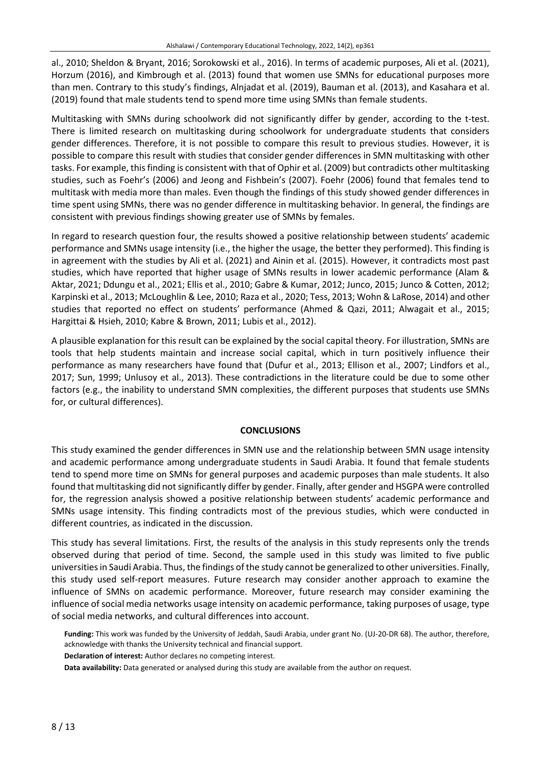al., 2010; Sheldon & Bryant, 2016; Sorokowski et al., 2016). In terms of academic purposes, Ali et al. (2021), Horzum (2016), and Kimbrough et al. (2013) found that women use SMNs for educational purposes more than men. Contrary to this study's findings, Alnjadat et al. (2019), Bauman et al. (2013), and Kasahara et al. (2019) found that male students tend to spend more time using SMNs than female students.

Multitasking with SMNs during schoolwork did not significantly differ by gender, according to the t-test. There is limited research on multitasking during schoolwork for undergraduate students that considers gender differences. Therefore, it is not possible to compare this result to previous studies. However, it is possible to compare this result with studies that consider gender differences in SMN multitasking with other tasks. For example, thisfinding is consistent with that of Ophir et al. (2009) but contradicts other multitasking studies, such as Foehr's (2006) and Jeong and Fishbein's (2007). Foehr (2006) found that females tend to multitask with media more than males. Even though the findings of this study showed gender differences in time spent using SMNs, there was no gender difference in multitasking behavior. In general, the findings are consistent with previous findings showing greater use of SMNs by females.

In regard to research question four, the results showed a positive relationship between students' academic performance and SMNs usage intensity (i.e., the higher the usage, the better they performed). This finding is in agreement with the studies by Ali et al. (2021) and Ainin et al. (2015). However, it contradicts most past studies, which have reported that higher usage of SMNs results in lower academic performance (Alam & Aktar, 2021; Ddungu et al., 2021; Ellis et al., 2010; Gabre & Kumar, 2012; Junco, 2015; Junco & Cotten, 2012; Karpinski et al., 2013; McLoughlin & Lee, 2010; Raza et al., 2020; Tess, 2013; Wohn & LaRose, 2014) and other studies that reported no effect on students' performance (Ahmed & Qazi, 2011; Alwagait et al., 2015; Hargittai & Hsieh, 2010; Kabre & Brown, 2011; Lubis et al., 2012).

A plausible explanation for this result can be explained by the social capital theory. For illustration, SMNs are tools that help students maintain and increase social capital, which in turn positively influence their performance as many researchers have found that (Dufur et al., 2013; Ellison et al., 2007; Lindfors et al., 2017; Sun, 1999; Unlusoy et al., 2013). These contradictions in the literature could be due to some other factors (e.g., the inability to understand SMN complexities, the different purposes that students use SMNs for, or cultural differences).

## **CONCLUSIONS**

This study examined the gender differences in SMN use and the relationship between SMN usage intensity and academic performance among undergraduate students in Saudi Arabia. It found that female students tend to spend more time on SMNs for general purposes and academic purposes than male students. It also found that multitasking did notsignificantly differ by gender. Finally, after gender and HSGPA were controlled for, the regression analysis showed a positive relationship between students' academic performance and SMNs usage intensity. This finding contradicts most of the previous studies, which were conducted in different countries, as indicated in the discussion.

This study has several limitations. First, the results of the analysis in this study represents only the trends observed during that period of time. Second, the sample used in this study was limited to five public universitiesin Saudi Arabia. Thus, the findings ofthe study cannot be generalized to other universities. Finally, this study used self-report measures. Future research may consider another approach to examine the influence of SMNs on academic performance. Moreover, future research may consider examining the influence of social media networks usage intensity on academic performance, taking purposes of usage, type of social media networks, and cultural differences into account.

**Funding:** This work was funded by the University of Jeddah, Saudi Arabia, under grant No. (UJ-20-DR 68). The author, therefore, acknowledge with thanks the University technical and financial support.

**Declaration of interest:** Author declares no competing interest.

**Data availability:** Data generated or analysed during this study are available from the author on request.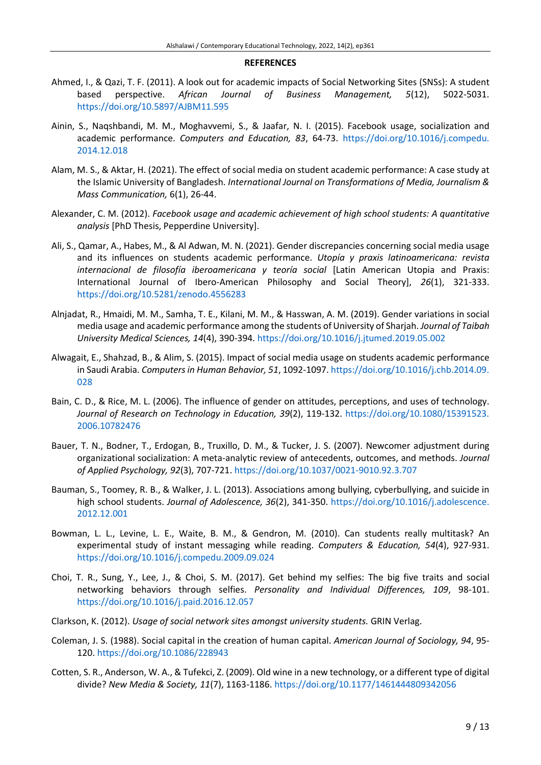#### **REFERENCES**

- Ahmed, I., & Qazi, T. F. (2011). A look out for academic impacts of Social Networking Sites (SNSs): A student based perspective. *African Journal of Business Management, 5*(12), 5022-5031. <https://doi.org/10.5897/AJBM11.595>
- Ainin, S., Naqshbandi, M. M., Moghavvemi, S., & Jaafar, N. I. (2015). Facebook usage, socialization and academic performance. *Computers and Education, 83*, 64-73. [https://doi.org/10.1016/j.compedu.](https://doi.org/10.1016/j.compedu.2014.12.018) [2014.12.018](https://doi.org/10.1016/j.compedu.2014.12.018)
- Alam, M. S., & Aktar, H. (2021). The effect of social media on student academic performance: A case study at the Islamic University of Bangladesh. *International Journal on Transformations of Media, Journalism & Mass Communication,* 6(1), 26-44.
- Alexander, C. M. (2012). *Facebook usage and academic achievement of high school students: A quantitative analysis* [PhD Thesis, Pepperdine University].
- Ali, S., Qamar, A., Habes, M., & Al Adwan, M. N. (2021). Gender discrepancies concerning social media usage and its influences on students academic performance. *Utopía y praxis latinoamericana: revista internacional de filosofía iberoamericana y teoría social* [Latin American Utopia and Praxis: International Journal of Ibero-American Philosophy and Social Theory], *26*(1), 321-333. <https://doi.org/10.5281/zenodo.4556283>
- Alnjadat, R., Hmaidi, M. M., Samha, T. E., Kilani, M. M., & Hasswan, A. M. (2019). Gender variations in social media usage and academic performance among the students of University of Sharjah. *Journal of Taibah University Medical Sciences, 14*(4), 390-394. <https://doi.org/10.1016/j.jtumed.2019.05.002>
- Alwagait, E., Shahzad, B., & Alim, S. (2015). Impact of social media usage on students academic performance in Saudi Arabia. *Computersin Human Behavior, 51*, 1092-1097. [https://doi.org/10.1016/j.chb.2014.09.](https://doi.org/10.1016/j.chb.2014.09.028) [028](https://doi.org/10.1016/j.chb.2014.09.028)
- Bain, C. D., & Rice, M. L. (2006). The influence of gender on attitudes, perceptions, and uses of technology. *Journal of Research on Technology in Education, 39*(2), 119-132. [https://doi.org/10.1080/15391523.](https://doi.org/10.1080/15391523.2006.10782476) [2006.10782476](https://doi.org/10.1080/15391523.2006.10782476)
- Bauer, T. N., Bodner, T., Erdogan, B., Truxillo, D. M., & Tucker, J. S. (2007). Newcomer adjustment during organizational socialization: A meta-analytic review of antecedents, outcomes, and methods. *Journal of Applied Psychology, 92*(3), 707-721. <https://doi.org/10.1037/0021-9010.92.3.707>
- Bauman, S., Toomey, R. B., & Walker, J. L. (2013). Associations among bullying, cyberbullying, and suicide in high school students. *Journal of Adolescence, 36*(2), 341-350. [https://doi.org/10.1016/j.adolescence.](https://doi.org/10.1016/j.adolescence.2012.12.001) [2012.12.001](https://doi.org/10.1016/j.adolescence.2012.12.001)
- Bowman, L. L., Levine, L. E., Waite, B. M., & Gendron, M. (2010). Can students really multitask? An experimental study of instant messaging while reading. *Computers & Education, 54*(4), 927-931. <https://doi.org/10.1016/j.compedu.2009.09.024>
- Choi, T. R., Sung, Y., Lee, J., & Choi, S. M. (2017). Get behind my selfies: The big five traits and social networking behaviors through selfies. *Personality and Individual Differences, 109*, 98-101. <https://doi.org/10.1016/j.paid.2016.12.057>
- Clarkson, K. (2012). *Usage of social network sites amongst university students.* GRIN Verlag.
- Coleman, J. S. (1988). Social capital in the creation of human capital. *American Journal of Sociology, 94*, 95- 120. <https://doi.org/10.1086/228943>
- Cotten, S. R., Anderson, W. A., & Tufekci, Z. (2009). Old wine in a new technology, or a different type of digital divide? *New Media & Society, 11*(7), 1163-1186. <https://doi.org/10.1177/1461444809342056>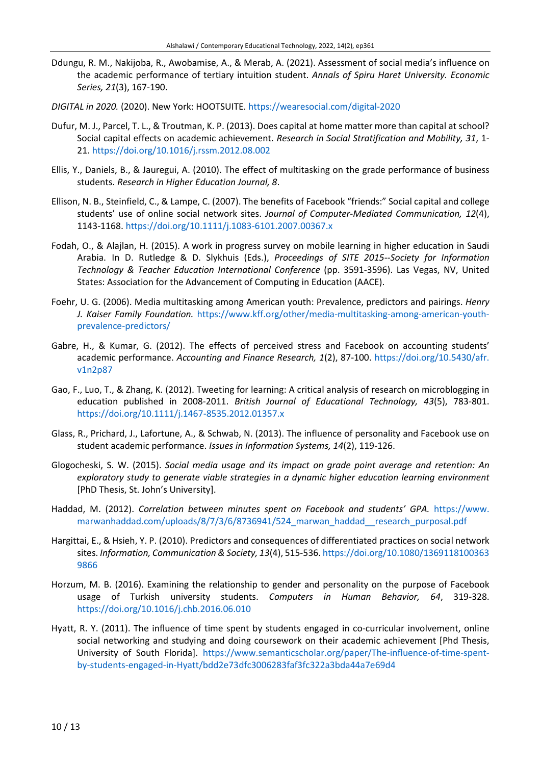- Ddungu, R. M., Nakijoba, R., Awobamise, A., & Merab, A. (2021). Assessment of social media's influence on the academic performance of tertiary intuition student. *Annals of Spiru Haret University. Economic Series, 21*(3), 167-190.
- *DIGITAL in 2020.* (2020). New York: HOOTSUITE. <https://wearesocial.com/digital-2020>
- Dufur, M. J., Parcel, T. L., & Troutman, K. P. (2013). Does capital at home matter more than capital at school? Social capital effects on academic achievement. *Research in Social Stratification and Mobility, 31*, 1- 21. <https://doi.org/10.1016/j.rssm.2012.08.002>
- Ellis, Y., Daniels, B., & Jauregui, A. (2010). The effect of multitasking on the grade performance of business students. *Research in Higher Education Journal, 8*.
- Ellison, N. B., Steinfield, C., & Lampe, C. (2007). The benefits of Facebook "friends:" Social capital and college students' use of online social network sites. *Journal of Computer‐Mediated Communication, 12*(4), 1143-1168. <https://doi.org/10.1111/j.1083-6101.2007.00367.x>
- Fodah, O., & Alajlan, H. (2015). A work in progress survey on mobile learning in higher education in Saudi Arabia. In D. Rutledge & D. Slykhuis (Eds.), *Proceedings of SITE 2015--Society for Information Technology & Teacher Education International Conference* (pp. 3591-3596). Las Vegas, NV, United States: Association for the Advancement of Computing in Education (AACE).
- Foehr, U. G. (2006). Media multitasking among American youth: Prevalence, predictors and pairings. *Henry J. Kaiser Family Foundation.* [https://www.kff.org/other/media-multitasking-among-american-youth](https://www.kff.org/other/media-multitasking-among-american-youth-prevalence-predictors/)[prevalence-predictors/](https://www.kff.org/other/media-multitasking-among-american-youth-prevalence-predictors/)
- Gabre, H., & Kumar, G. (2012). The effects of perceived stress and Facebook on accounting students' academic performance. *Accounting and Finance Research, 1*(2), 87-100. [https://doi.org/10.5430/afr.](https://doi.org/10.5430/afr.v1n2p87) [v1n2p87](https://doi.org/10.5430/afr.v1n2p87)
- Gao, F., Luo, T., & Zhang, K. (2012). Tweeting for learning: A critical analysis of research on microblogging in education published in 2008-2011. *British Journal of Educational Technology, 43*(5), 783-801. <https://doi.org/10.1111/j.1467-8535.2012.01357.x>
- Glass, R., Prichard, J., Lafortune, A., & Schwab, N. (2013). The influence of personality and Facebook use on student academic performance. *Issues in Information Systems, 14*(2), 119-126.
- Glogocheski, S. W. (2015). *Social media usage and its impact on grade point average and retention: An exploratory study to generate viable strategies in a dynamic higher education learning environment* [PhD Thesis, St. John's University].
- Haddad, M. (2012). *Correlation between minutes spent on Facebook and students' GPA.* [https://www.](https://www.marwanhaddad.com/uploads/8/7/3/6/8736941/524_marwan_haddad__research_purposal.pdf) [marwanhaddad.com/uploads/8/7/3/6/8736941/524\\_marwan\\_haddad\\_\\_research\\_purposal.pdf](https://www.marwanhaddad.com/uploads/8/7/3/6/8736941/524_marwan_haddad__research_purposal.pdf)
- Hargittai, E., & Hsieh, Y. P. (2010). Predictors and consequences of differentiated practices on social network sites. *Information, Communication & Society, 13*(4), 515-536. [https://doi.org/10.1080/1369118100363](https://doi.org/10.1080/13691181003639866) [9866](https://doi.org/10.1080/13691181003639866)
- Horzum, M. B. (2016). Examining the relationship to gender and personality on the purpose of Facebook usage of Turkish university students. *Computers in Human Behavior, 64*, 319-328. <https://doi.org/10.1016/j.chb.2016.06.010>
- Hyatt, R. Y. (2011). The influence of time spent by students engaged in co-curricular involvement, online social networking and studying and doing coursework on their academic achievement [Phd Thesis, University of South Florida]. [https://www.semanticscholar.org/paper/The-influence-of-time-spent](https://www.semanticscholar.org/paper/The-influence-of-time-spent-by-students-engaged-in-Hyatt/bdd2e73dfc3006283faf3fc322a3bda44a7e69d4)[by-students-engaged-in-Hyatt/bdd2e73dfc3006283faf3fc322a3bda44a7e69d4](https://www.semanticscholar.org/paper/The-influence-of-time-spent-by-students-engaged-in-Hyatt/bdd2e73dfc3006283faf3fc322a3bda44a7e69d4)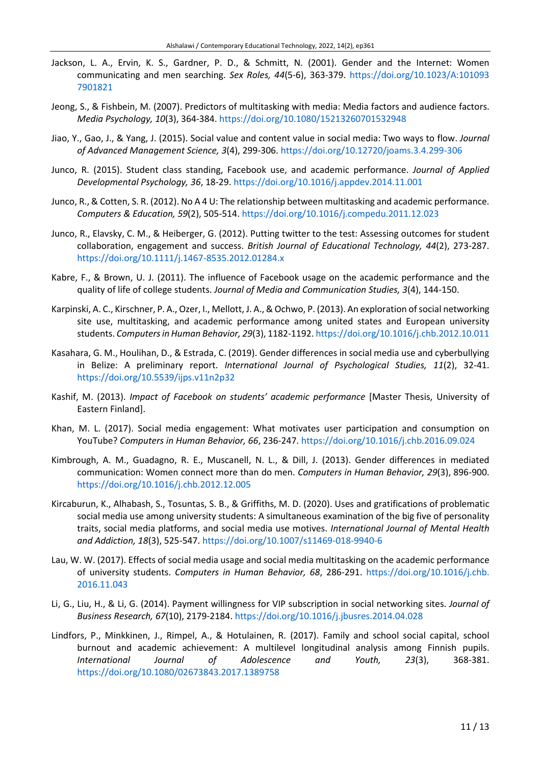- Jackson, L. A., Ervin, K. S., Gardner, P. D., & Schmitt, N. (2001). Gender and the Internet: Women communicating and men searching. *Sex Roles, 44*(5-6), 363-379. [https://doi.org/10.1023/A:101093](https://doi.org/10.1023/A:1010937901821) [7901821](https://doi.org/10.1023/A:1010937901821)
- Jeong, S., & Fishbein, M. (2007). Predictors of multitasking with media: Media factors and audience factors. *Media Psychology, 10*(3), 364-384. <https://doi.org/10.1080/15213260701532948>
- Jiao, Y., Gao, J., & Yang, J. (2015). Social value and content value in social media: Two ways to flow. *Journal of Advanced Management Science, 3*(4), 299-306. <https://doi.org/10.12720/joams.3.4.299-306>
- Junco, R. (2015). Student class standing, Facebook use, and academic performance. *Journal of Applied Developmental Psychology, 36*, 18-29. <https://doi.org/10.1016/j.appdev.2014.11.001>
- Junco, R., & Cotten, S. R. (2012). No A 4 U: The relationship between multitasking and academic performance. *Computers & Education, 59*(2), 505-514. <https://doi.org/10.1016/j.compedu.2011.12.023>
- Junco, R., Elavsky, C. M., & Heiberger, G. (2012). Putting twitter to the test: Assessing outcomes for student collaboration, engagement and success. *British Journal of Educational Technology, 44*(2), 273-287. <https://doi.org/10.1111/j.1467-8535.2012.01284.x>
- Kabre, F., & Brown, U. J. (2011). The influence of Facebook usage on the academic performance and the quality of life of college students. *Journal of Media and Communication Studies, 3*(4), 144-150.
- Karpinski, A. C., Kirschner, P. A., Ozer, I., Mellott, J. A., & Ochwo, P. (2013). An exploration of social networking site use, multitasking, and academic performance among united states and European university students. *ComputersinHuman Behavior, 29*(3), 1182-1192. <https://doi.org/10.1016/j.chb.2012.10.011>
- Kasahara, G. M., Houlihan, D., & Estrada, C. (2019). Gender differences in social media use and cyberbullying in Belize: A preliminary report. *International Journal of Psychological Studies, 11*(2), 32-41. <https://doi.org/10.5539/ijps.v11n2p32>
- Kashif, M. (2013). *Impact of Facebook on students' academic performance* [Master Thesis, University of Eastern Finland].
- Khan, M. L. (2017). Social media engagement: What motivates user participation and consumption on YouTube? *Computers in Human Behavior, 66*, 236-247. <https://doi.org/10.1016/j.chb.2016.09.024>
- Kimbrough, A. M., Guadagno, R. E., Muscanell, N. L., & Dill, J. (2013). Gender differences in mediated communication: Women connect more than do men. *Computers in Human Behavior, 29*(3), 896-900. <https://doi.org/10.1016/j.chb.2012.12.005>
- Kircaburun, K., Alhabash, S., Tosuntas, S. B., & Griffiths, M. D. (2020). Uses and gratifications of problematic social media use among university students: A simultaneous examination of the big five of personality traits, social media platforms, and social media use motives. *International Journal of Mental Health and Addiction, 18*(3), 525-547. <https://doi.org/10.1007/s11469-018-9940-6>
- Lau, W. W. (2017). Effects of social media usage and social media multitasking on the academic performance of university students. *Computers in Human Behavior, 68*, 286-291. [https://doi.org/10.1016/j.chb.](https://doi.org/10.1016/j.chb.2016.11.043) [2016.11.043](https://doi.org/10.1016/j.chb.2016.11.043)
- Li, G., Liu, H., & Li, G. (2014). Payment willingness for VIP subscription in social networking sites. *Journal of Business Research, 67*(10), 2179-2184. <https://doi.org/10.1016/j.jbusres.2014.04.028>
- Lindfors, P., Minkkinen, J., Rimpel, A., & Hotulainen, R. (2017). Family and school social capital, school burnout and academic achievement: A multilevel longitudinal analysis among Finnish pupils. *International Journal of Adolescence and Youth, 23*(3), 368-381. <https://doi.org/10.1080/02673843.2017.1389758>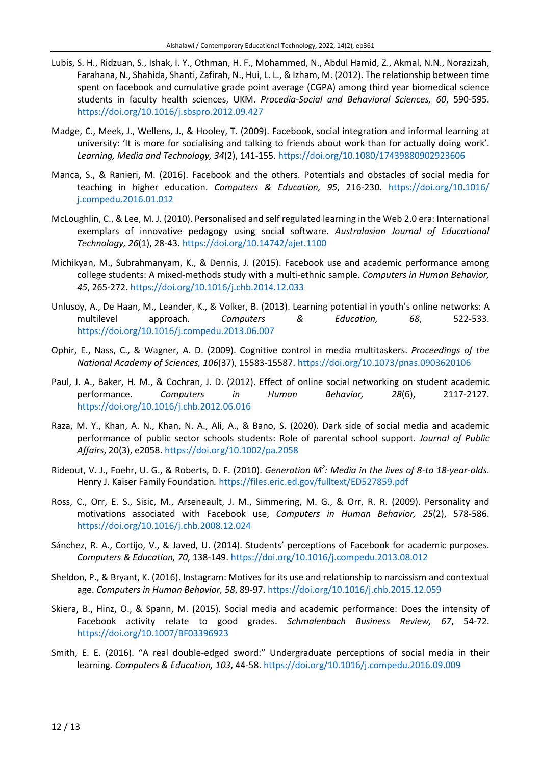- Lubis, S. H., Ridzuan, S., Ishak, I. Y., Othman, H. F., Mohammed, N., Abdul Hamid, Z., Akmal, N.N., Norazizah, Farahana, N., Shahida, Shanti, Zafirah, N., Hui, L. L., & Izham, M. (2012). The relationship between time spent on facebook and cumulative grade point average (CGPA) among third year biomedical science students in faculty health sciences, UKM. *Procedia-Social and Behavioral Sciences, 60*, 590-595. <https://doi.org/10.1016/j.sbspro.2012.09.427>
- Madge, C., Meek, J., Wellens, J., & Hooley, T. (2009). Facebook, social integration and informal learning at university: 'It is more for socialising and talking to friends about work than for actually doing work'. *Learning, Media and Technology, 34*(2), 141-155. <https://doi.org/10.1080/17439880902923606>
- Manca, S., & Ranieri, M. (2016). Facebook and the others. Potentials and obstacles of social media for teaching in higher education. *Computers & Education, 95*, 216-230. [https://doi.org/10.1016/](https://doi.org/10.1016/j.compedu.2016.01.012) [j.compedu.2016.01.012](https://doi.org/10.1016/j.compedu.2016.01.012)
- McLoughlin, C., & Lee, M. J. (2010). Personalised and self regulated learning in the Web 2.0 era: International exemplars of innovative pedagogy using social software. *Australasian Journal of Educational Technology, 26*(1), 28-43. <https://doi.org/10.14742/ajet.1100>
- Michikyan, M., Subrahmanyam, K., & Dennis, J. (2015). Facebook use and academic performance among college students: A mixed-methods study with a multi-ethnic sample. *Computers in Human Behavior, 45*, 265-272. <https://doi.org/10.1016/j.chb.2014.12.033>
- Unlusoy, A., De Haan, M., Leander, K., & Volker, B. (2013). Learning potential in youth's online networks: A multilevel approach. *Computers & Education, 68*, 522-533. <https://doi.org/10.1016/j.compedu.2013.06.007>
- Ophir, E., Nass, C., & Wagner, A. D. (2009). Cognitive control in media multitaskers. *Proceedings of the National Academy of Sciences, 106*(37), 15583-15587. <https://doi.org/10.1073/pnas.0903620106>
- Paul, J. A., Baker, H. M., & Cochran, J. D. (2012). Effect of online social networking on student academic performance. *Computers in Human Behavior, 28*(6), 2117-2127. <https://doi.org/10.1016/j.chb.2012.06.016>
- Raza, M. Y., Khan, A. N., Khan, N. A., Ali, A., & Bano, S. (2020). Dark side of social media and academic performance of public sector schools students: Role of parental school support. *Journal of Public Affairs*, 20(3), e2058. <https://doi.org/10.1002/pa.2058>
- Rideout, V. J., Foehr, U. G., & Roberts, D. F. (2010). *Generation M<sup>2</sup> : Media in the lives of 8-to 18-year-olds*. Henry J. Kaiser Family Foundation*.* <https://files.eric.ed.gov/fulltext/ED527859.pdf>
- Ross, C., Orr, E. S., Sisic, M., Arseneault, J. M., Simmering, M. G., & Orr, R. R. (2009). Personality and motivations associated with Facebook use, *Computers in Human Behavior, 25*(2), 578-586. <https://doi.org/10.1016/j.chb.2008.12.024>
- Sánchez, R. A., Cortijo, V., & Javed, U. (2014). Students' perceptions of Facebook for academic purposes. *Computers & Education, 70*, 138-149. <https://doi.org/10.1016/j.compedu.2013.08.012>
- Sheldon, P., & Bryant, K. (2016). Instagram: Motives for its use and relationship to narcissism and contextual age. *Computers in Human Behavior, 58*, 89-97. <https://doi.org/10.1016/j.chb.2015.12.059>
- Skiera, B., Hinz, O., & Spann, M. (2015). Social media and academic performance: Does the intensity of Facebook activity relate to good grades. *Schmalenbach Business Review, 67*, 54-72. <https://doi.org/10.1007/BF03396923>
- Smith, E. E. (2016). "A real double-edged sword:" Undergraduate perceptions of social media in their learning*. Computers & Education, 103*, 44-58. <https://doi.org/10.1016/j.compedu.2016.09.009>